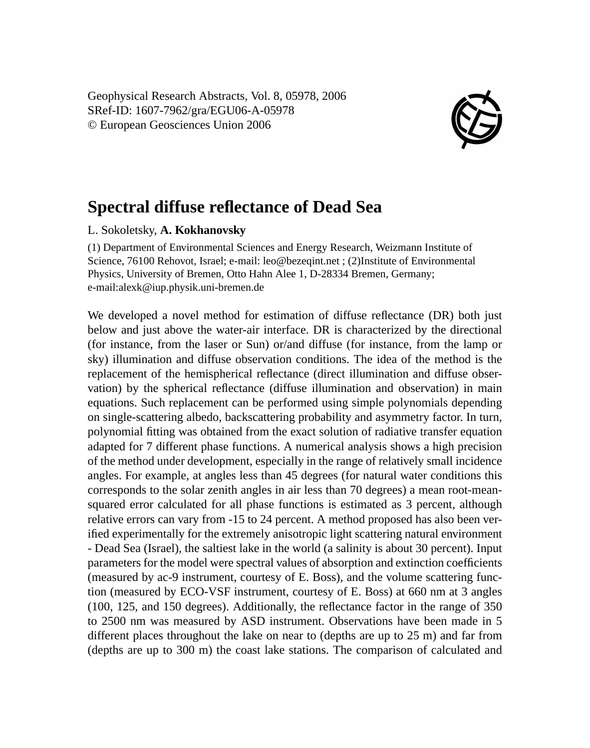Geophysical Research Abstracts, Vol. 8, 05978, 2006 SRef-ID: 1607-7962/gra/EGU06-A-05978 © European Geosciences Union 2006



## **Spectral diffuse reflectance of Dead Sea**

## L. Sokoletsky, **A. Kokhanovsky**

(1) Department of Environmental Sciences and Energy Research, Weizmann Institute of Science, 76100 Rehovot, Israel; e-mail: leo@bezeqint.net ; (2)Institute of Environmental Physics, University of Bremen, Otto Hahn Alee 1, D-28334 Bremen, Germany; e-mail:alexk@iup.physik.uni-bremen.de

We developed a novel method for estimation of diffuse reflectance (DR) both just below and just above the water-air interface. DR is characterized by the directional (for instance, from the laser or Sun) or/and diffuse (for instance, from the lamp or sky) illumination and diffuse observation conditions. The idea of the method is the replacement of the hemispherical reflectance (direct illumination and diffuse observation) by the spherical reflectance (diffuse illumination and observation) in main equations. Such replacement can be performed using simple polynomials depending on single-scattering albedo, backscattering probability and asymmetry factor. In turn, polynomial fitting was obtained from the exact solution of radiative transfer equation adapted for 7 different phase functions. A numerical analysis shows a high precision of the method under development, especially in the range of relatively small incidence angles. For example, at angles less than 45 degrees (for natural water conditions this corresponds to the solar zenith angles in air less than 70 degrees) a mean root-meansquared error calculated for all phase functions is estimated as 3 percent, although relative errors can vary from -15 to 24 percent. A method proposed has also been verified experimentally for the extremely anisotropic light scattering natural environment - Dead Sea (Israel), the saltiest lake in the world (a salinity is about 30 percent). Input parameters for the model were spectral values of absorption and extinction coefficients (measured by ac-9 instrument, courtesy of E. Boss), and the volume scattering function (measured by ECO-VSF instrument, courtesy of E. Boss) at 660 nm at 3 angles (100, 125, and 150 degrees). Additionally, the reflectance factor in the range of 350 to 2500 nm was measured by ASD instrument. Observations have been made in 5 different places throughout the lake on near to (depths are up to 25 m) and far from (depths are up to 300 m) the coast lake stations. The comparison of calculated and